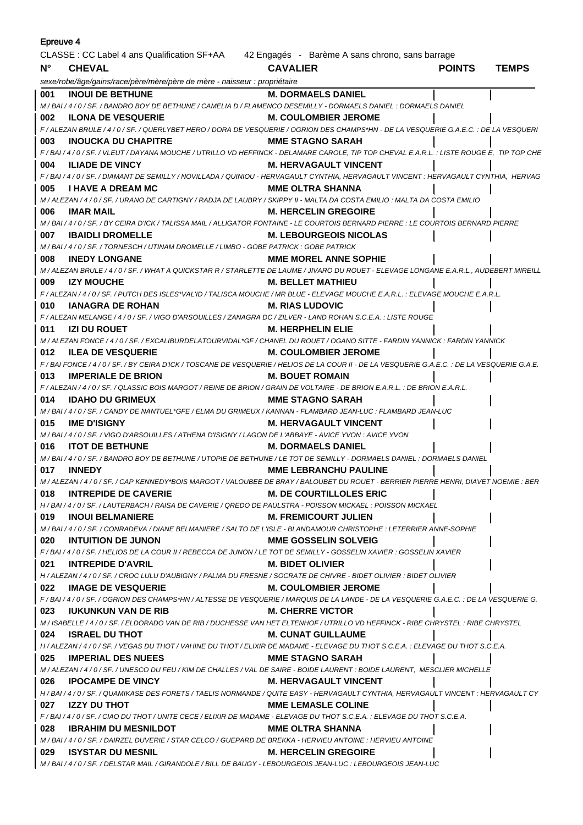| Epreuve 4                                                                                   |                                                                                                                                                |                                |               |              |  |
|---------------------------------------------------------------------------------------------|------------------------------------------------------------------------------------------------------------------------------------------------|--------------------------------|---------------|--------------|--|
| CLASSE : CC Label 4 ans Qualification SF+AA 42 Engagés - Barème A sans chrono, sans barrage |                                                                                                                                                |                                |               |              |  |
| $N^{\circ}$                                                                                 | <b>CHEVAL</b>                                                                                                                                  | <b>CAVALIER</b>                | <b>POINTS</b> | <b>TEMPS</b> |  |
|                                                                                             | sexe/robe/âge/gains/race/père/mère/père de mère - naisseur : propriétaire                                                                      |                                |               |              |  |
| <b>M. DORMAELS DANIEL</b><br>001<br><b>INOUI DE BETHUNE</b>                                 |                                                                                                                                                |                                |               |              |  |
|                                                                                             | M / BAI / 4 / 0 / SF. / BANDRO BOY DE BETHUNE / CAMELIA D / FLAMENCO DESEMILLY - DORMAELS DANIEL : DORMAELS DANIEL                             |                                |               |              |  |
| 002                                                                                         | <b>ILONA DE VESQUERIE</b>                                                                                                                      | <b>M. COULOMBIER JEROME</b>    |               |              |  |
|                                                                                             | F / ALEZAN BRULE / 4 / 0 / SF. / QUERLYBET HERO / DORA DE VESQUERIE / OGRION DES CHAMPS*HN - DE LA VESQUERIE G.A.E.C. : DE LA VESQUERI         |                                |               |              |  |
| 003                                                                                         | <b>INOUCKA DU CHAPITRE</b>                                                                                                                     | <b>MME STAGNO SARAH</b>        |               |              |  |
|                                                                                             | F/BAI/4/0/SF./VLEUT/DAYANA MOUCHE/UTRILLO VD HEFFINCK - DELAMARE CAROLE, TIP TOP CHEVAL E.A.R.L.: LISTE ROUGE E, TIP TOP CHE                   |                                |               |              |  |
| 004                                                                                         | <b>ILIADE DE VINCY</b>                                                                                                                         | <b>M. HERVAGAULT VINCENT</b>   |               |              |  |
|                                                                                             | F/BAI/4/0/SF./DIAMANT DE SEMILLY/NOVILLADA/QUINIOU - HERVAGAULT CYNTHIA, HERVAGAULT VINCENT : HERVAGAULT CYNTHIA, HERVAG                       |                                |               |              |  |
| 005                                                                                         | <b>I HAVE A DREAM MC</b>                                                                                                                       | MME OLTRA SHANNA               |               |              |  |
|                                                                                             | M / ALEZAN / 4 / 0 / SF. / URANO DE CARTIGNY / RADJA DE LAUBRY / SKIPPY II - MALTA DA COSTA EMILIO : MALTA DA COSTA EMILIO                     |                                |               |              |  |
| 006                                                                                         | <b>IMAR MAIL</b>                                                                                                                               | <b>M. HERCELIN GREGOIRE</b>    |               |              |  |
|                                                                                             | M / BAI / 4 / 0 / SF. / BY CEIRA D'ICK / TALISSA MAIL / ALLIGATOR FONTAINE - LE COURTOIS BERNARD PIERRE : LE COURTOIS BERNARD PIERRE           |                                |               |              |  |
| 007                                                                                         | <b>IBAIDLI DROMELLE</b>                                                                                                                        | <b>M. LEBOURGEOIS NICOLAS</b>  |               |              |  |
|                                                                                             | M / BAI / 4 / 0 / SF. / TORNESCH / UTINAM DROMELLE / LIMBO - GOBE PATRICK : GOBE PATRICK                                                       |                                |               |              |  |
| 008                                                                                         | <b>INEDY LONGANE</b>                                                                                                                           | <b>MME MOREL ANNE SOPHIE</b>   |               |              |  |
| 009                                                                                         | M / ALEZAN BRULE / 4 / 0 / SF. / WHAT A QUICKSTAR R / STARLETTE DE LAUME / JIVARO DU ROUET - ELEVAGE LONGANE E.A.R.L., AUDEBERT MIREILL        | <b>M. BELLET MATHIEU</b>       |               |              |  |
|                                                                                             | <b>IZY MOUCHE</b><br>F/ALEZAN/4/0/SF./PUTCH DES ISLES*VAL'ID/TALISCA MOUCHE/MR BLUE - ELEVAGE MOUCHE E.A.R.L. : ELEVAGE MOUCHE E.A.R.L.        |                                |               |              |  |
| 010                                                                                         | <b>IANAGRA DE ROHAN</b><br><b>M. RIAS LUDOVIC</b>                                                                                              |                                |               |              |  |
|                                                                                             | F / ALEZAN MELANGE / 4 / 0 / SF. / VIGO D'ARSOUILLES / ZANAGRA DC / ZILVER - LAND ROHAN S.C.E.A. : LISTE ROUGE                                 |                                |               |              |  |
| 011                                                                                         | IZI DU ROUET                                                                                                                                   | <b>M. HERPHELIN ELIE</b>       |               |              |  |
|                                                                                             | M / ALEZAN FONCE / 4 / 0 / SF. / EXCALIBURDELATOURVIDAL*GF / CHANEL DU ROUET / OGANO SITTE - FARDIN YANNICK : FARDIN YANNICK                   |                                |               |              |  |
| 012                                                                                         | <b>ILEA DE VESQUERIE</b>                                                                                                                       | <b>M. COULOMBIER JEROME</b>    |               |              |  |
|                                                                                             | F / BAI FONCE / 4 / 0 / SF. / BY CEIRA D'ICK / TOSCANE DE VESQUERIE / HELIOS DE LA COUR II - DE LA VESQUERIE G.A.E.C. : DE LA VESQUERIE G.A.E. |                                |               |              |  |
| 013                                                                                         | <b>IMPERIALE DE BRION</b>                                                                                                                      | <b>M. BOUET ROMAIN</b>         |               |              |  |
|                                                                                             | F / ALEZAN / 4 / 0 / SF. / QLASSIC BOIS MARGOT / REINE DE BRION / GRAIN DE VOLTAIRE - DE BRION E.A.R.L. : DE BRION E.A.R.L.                    |                                |               |              |  |
| 014                                                                                         | <b>IDAHO DU GRIMEUX</b>                                                                                                                        | <b>MME STAGNO SARAH</b>        |               |              |  |
|                                                                                             | M / BAI / 4 / 0 / SF. / CANDY DE NANTUEL*GFE / ELMA DU GRIMEUX / KANNAN - FLAMBARD JEAN-LUC : FLAMBARD JEAN-LUC                                |                                |               |              |  |
| 015                                                                                         | <b>IME D'ISIGNY</b>                                                                                                                            | <b>M. HERVAGAULT VINCENT</b>   |               |              |  |
|                                                                                             | M/BAI/4/0/SF./VIGO D'ARSOUILLES/ATHENA D'ISIGNY/LAGON DE L'ABBAYE - AVICE YVON : AVICE YVON                                                    |                                |               |              |  |
| 016                                                                                         | <b>ITOT DE BETHUNE</b>                                                                                                                         | <b>M. DORMAELS DANIEL</b>      |               |              |  |
|                                                                                             | M / BAI / 4 / 0 / SF. / BANDRO BOY DE BETHUNE / UTOPIE DE BETHUNE / LE TOT DE SEMILLY - DORMAELS DANIEL : DORMAELS DANIEL                      |                                |               |              |  |
| 017                                                                                         | <b>INNEDY</b>                                                                                                                                  | <b>MME LEBRANCHU PAULINE</b>   |               |              |  |
|                                                                                             | M / ALEZAN / 4 / 0 / SF. / CAP KENNEDY*BOIS MARGOT / VALOUBEE DE BRAY / BALOUBET DU ROUET - BERRIER PIERRE HENRI, DIAVET NOEMIE : BER          |                                |               |              |  |
| 018                                                                                         | <b>INTREPIDE DE CAVERIE</b>                                                                                                                    | <b>M. DE COURTILLOLES ERIC</b> |               |              |  |
|                                                                                             | H / BAI / 4 / 0 / SF. / LAUTERBACH / RAISA DE CAVERIE / QREDO DE PAULSTRA - POISSON MICKAEL : POISSON MICKAEL                                  |                                |               |              |  |
| 019                                                                                         | <b>INOUI BELMANIERE</b><br>M/BAI/4/0/SF./CONRADEVA/DIANE BELMANIERE/SALTO DE L'ISLE - BLANDAMOUR CHRISTOPHE : LETERRIER ANNE-SOPHIE            | <b>M. FREMICOURT JULIEN</b>    |               |              |  |
| 020                                                                                         | <b>INTUITION DE JUNON</b>                                                                                                                      | <b>MME GOSSELIN SOLVEIG</b>    |               |              |  |
|                                                                                             | F / BAI / 4 / 0 / SF. / HELIOS DE LA COUR II / REBECCA DE JUNON / LE TOT DE SEMILLY - GOSSELIN XAVIER : GOSSELIN XAVIER                        |                                |               |              |  |
| 021                                                                                         | <b>INTREPIDE D'AVRIL</b>                                                                                                                       | <b>M. BIDET OLIVIER</b>        |               |              |  |
|                                                                                             | H / ALEZAN / 4 / 0 / SF. / CROC LULU D'AUBIGNY / PALMA DU FRESNE / SOCRATE DE CHIVRE - BIDET OLIVIER : BIDET OLIVIER                           |                                |               |              |  |
| 022                                                                                         | <b>IMAGE DE VESQUERIE</b>                                                                                                                      | <b>M. COULOMBIER JEROME</b>    |               |              |  |
|                                                                                             | F / BAI / 4 / 0 / SF. / OGRION DES CHAMPS*HN / ALTESSE DE VESQUERIE / MARQUIS DE LA LANDE - DE LA VESQUERIE G.A.E.C. : DE LA VESQUERIE G.      |                                |               |              |  |
| 023                                                                                         | <b>IUKUNKUN VAN DE RIB</b>                                                                                                                     | <b>M. CHERRE VICTOR</b>        |               |              |  |
|                                                                                             | M / ISABELLE / 4 / 0 / SF. / ELDORADO VAN DE RIB / DUCHESSE VAN HET ELTENHOF / UTRILLO VD HEFFINCK - RIBE CHRYSTEL : RIBE CHRYSTEL             |                                |               |              |  |
| 024                                                                                         | <b>ISRAEL DU THOT</b>                                                                                                                          | <b>M. CUNAT GUILLAUME</b>      |               |              |  |
|                                                                                             | H / ALEZAN / 4 / 0 / SF. / VEGAS DU THOT / VAHINE DU THOT / ELIXIR DE MADAME - ELEVAGE DU THOT S.C.E.A. : ELEVAGE DU THOT S.C.E.A.             |                                |               |              |  |
| 025                                                                                         | <b>IMPERIAL DES NUEES</b>                                                                                                                      | <b>MME STAGNO SARAH</b>        |               |              |  |
|                                                                                             | M / ALEZAN / 4 / 0 / SF. / UNESCO DU FEU / KIM DE CHALLES / VAL DE SAIRE - BOIDE LAURENT : BOIDE LAURENT, MESCLIER MICHELLE                    |                                |               |              |  |
| 026                                                                                         | <b>IPOCAMPE DE VINCY</b>                                                                                                                       | <b>M. HERVAGAULT VINCENT</b>   |               |              |  |
|                                                                                             | H / BAI / 4 / 0 / SF. / QUAMIKASE DES FORETS / TAELIS NORMANDE / QUITE EASY - HERVAGAULT CYNTHIA, HERVAGAULT VINCENT : HERVAGAULT CY           |                                |               |              |  |
| 027                                                                                         | <b>IZZY DU THOT</b>                                                                                                                            | <b>MME LEMASLE COLINE</b>      |               |              |  |
|                                                                                             | F / BAI / 4 / 0 / SF. / CIAO DU THOT / UNITE CECE / ELIXIR DE MADAME - ELEVAGE DU THOT S.C.E.A. : ELEVAGE DU THOT S.C.E.A.                     |                                |               |              |  |
| 028                                                                                         | <b>IBRAHIM DU MESNILDOT</b>                                                                                                                    | <b>MME OLTRA SHANNA</b>        |               |              |  |
|                                                                                             | M / BAI / 4 / 0 / SF. / DAIRZEL DUVERIE / STAR CELCO / GUEPARD DE BREKKA - HERVIEU ANTOINE : HERVIEU ANTOINE                                   |                                |               |              |  |
| 029                                                                                         | <b>ISYSTAR DU MESNIL</b>                                                                                                                       | <b>M. HERCELIN GREGOIRE</b>    |               |              |  |
|                                                                                             | M / BAI / 4 / 0 / SF. / DELSTAR MAIL / GIRANDOLE / BILL DE BAUGY - LEBOURGEOIS JEAN-LUC : LEBOURGEOIS JEAN-LUC                                 |                                |               |              |  |